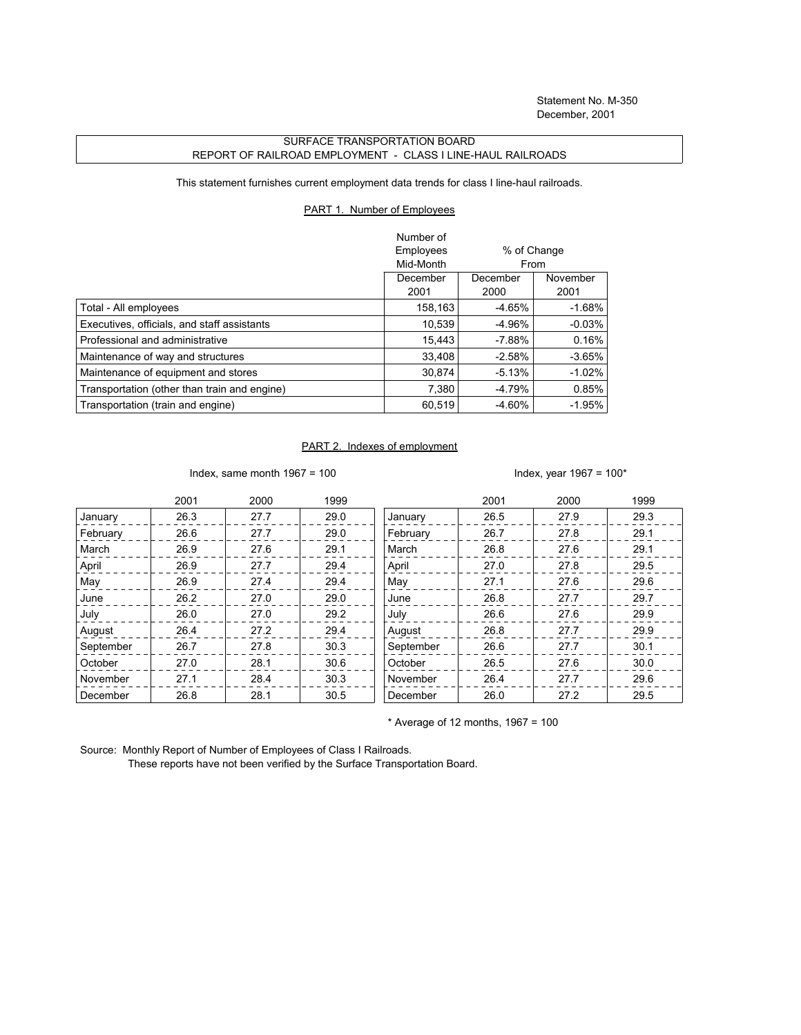## SURFACE TRANSPORTATION BOARD REPORT OF RAILROAD EMPLOYMENT - CLASS I LINE-HAUL RAILROADS

This statement furnishes current employment data trends for class I line-haul railroads.

## PART 1. Number of Employees

|                                              | Number of |             |           |
|----------------------------------------------|-----------|-------------|-----------|
|                                              | Employees | % of Change |           |
|                                              | Mid-Month | From        |           |
|                                              | December  | December    | November  |
|                                              | 2001      | 2000        | 2001      |
| Total - All employees                        | 158,163   | -4.65%      | $-1.68\%$ |
| Executives, officials, and staff assistants  | 10.539    | $-4.96%$    | $-0.03%$  |
| Professional and administrative              | 15.443    | $-7.88%$    | 0.16%     |
| Maintenance of way and structures            | 33,408    | $-2.58%$    | $-3.65%$  |
| Maintenance of equipment and stores          | 30.874    | $-5.13%$    | $-1.02%$  |
| Transportation (other than train and engine) | 7,380     | $-4.79%$    | 0.85%     |
| Transportation (train and engine)            | 60,519    | $-4.60%$    | $-1.95%$  |

## PART 2. Indexes of employment

Index, same month 1967 = 100  $\blacksquare$ 

|           | 2001 | 2000 | 1999 |           | 2001 | 2000 | 1999 |
|-----------|------|------|------|-----------|------|------|------|
| January   | 26.3 | 27.7 | 29.0 | January   | 26.5 | 27.9 | 29.3 |
| February  | 26.6 | 27.7 | 29.0 | February  | 26.7 | 27.8 | 29.1 |
| March     | 26.9 | 27.6 | 29.1 | March     | 26.8 | 27.6 | 29.1 |
| April     | 26.9 | 27.7 | 29.4 | April     | 27.0 | 27.8 | 29.5 |
| May       | 26.9 | 27.4 | 29.4 | May       | 27.1 | 27.6 | 29.6 |
| June      | 26.2 | 27.0 | 29.0 | June      | 26.8 | 27.7 | 29.7 |
| July      | 26.0 | 27.0 | 29.2 | July      | 26.6 | 27.6 | 29.9 |
| August    | 26.4 | 27.2 | 29.4 | August    | 26.8 | 27.7 | 29.9 |
| September | 26.7 | 27.8 | 30.3 | September | 26.6 | 27.7 | 30.1 |
| October   | 27.0 | 28.1 | 30.6 | October   | 26.5 | 27.6 | 30.0 |
| November  | 27.1 | 28.4 | 30.3 | November  | 26.4 | 27.7 | 29.6 |
| December  | 26.8 | 28.1 | 30.5 | December  | 26.0 | 27.2 | 29.5 |

 $*$  Average of 12 months, 1967 = 100

Source: Monthly Report of Number of Employees of Class I Railroads.

These reports have not been verified by the Surface Transportation Board.